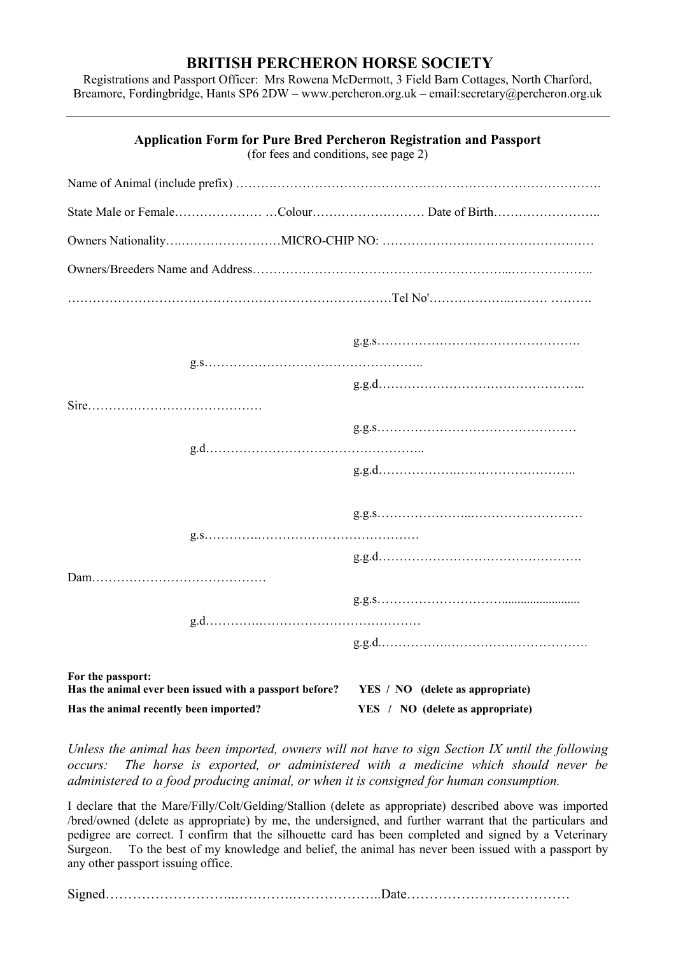## **BRITISH PERCHERON HORSE SOCIETY**

Registrations and Passport Officer: Mrs Rowena McDermott, 3 Field Barn Cottages, North Charford, Breamore, Fordingbridge, Hants SP6 2DW – [www.percheron.org.uk](http://www.percheron.org.uk/) – email:secretary@percheron.org.uk

| <b>Application Form for Pure Bred Percheron Registration and Passport</b><br>(for fees and conditions, see page 2) |                                                         |  |                                  |  |
|--------------------------------------------------------------------------------------------------------------------|---------------------------------------------------------|--|----------------------------------|--|
|                                                                                                                    |                                                         |  |                                  |  |
|                                                                                                                    |                                                         |  |                                  |  |
|                                                                                                                    |                                                         |  |                                  |  |
|                                                                                                                    |                                                         |  |                                  |  |
|                                                                                                                    |                                                         |  |                                  |  |
|                                                                                                                    |                                                         |  |                                  |  |
|                                                                                                                    |                                                         |  |                                  |  |
|                                                                                                                    |                                                         |  |                                  |  |
|                                                                                                                    |                                                         |  |                                  |  |
|                                                                                                                    |                                                         |  |                                  |  |
|                                                                                                                    |                                                         |  |                                  |  |
|                                                                                                                    |                                                         |  |                                  |  |
|                                                                                                                    |                                                         |  |                                  |  |
| For the passport:                                                                                                  | Has the animal ever been issued with a passport before? |  | YES / NO (delete as appropriate) |  |
| Has the animal recently been imported?                                                                             |                                                         |  | YES / NO (delete as appropriate) |  |

*Unless the animal has been imported, owners will not have to sign Section IX until the following occurs: The horse is exported, or administered with a medicine which should never be administered to a food producing animal, or when it is consigned for human consumption.*

I declare that the Mare/Filly/Colt/Gelding/Stallion (delete as appropriate) described above was imported /bred/owned (delete as appropriate) by me, the undersigned, and further warrant that the particulars and pedigree are correct. I confirm that the silhouette card has been completed and signed by a Veterinary Surgeon. To the best of my knowledge and belief, the animal has never been issued with a passport by any other passport issuing office.

Signed………………………..………….………………..Date………………………………